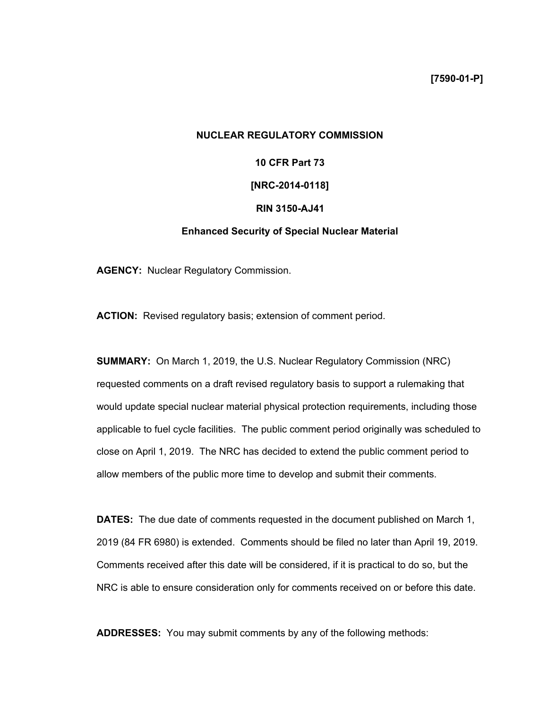**[7590-01-P]** 

# **NUCLEAR REGULATORY COMMISSION**

**10 CFR Part 73** 

# **[NRC-2014-0118]**

#### **RIN 3150-AJ41**

# **Enhanced Security of Special Nuclear Material**

**AGENCY:** Nuclear Regulatory Commission.

**ACTION:** Revised regulatory basis; extension of comment period.

**SUMMARY:** On March 1, 2019, the U.S. Nuclear Regulatory Commission (NRC) requested comments on a draft revised regulatory basis to support a rulemaking that would update special nuclear material physical protection requirements, including those applicable to fuel cycle facilities. The public comment period originally was scheduled to close on April 1, 2019. The NRC has decided to extend the public comment period to allow members of the public more time to develop and submit their comments.

**DATES:** The due date of comments requested in the document published on March 1, 2019 (84 FR 6980) is extended. Comments should be filed no later than April 19, 2019. Comments received after this date will be considered, if it is practical to do so, but the NRC is able to ensure consideration only for comments received on or before this date.

**ADDRESSES:** You may submit comments by any of the following methods: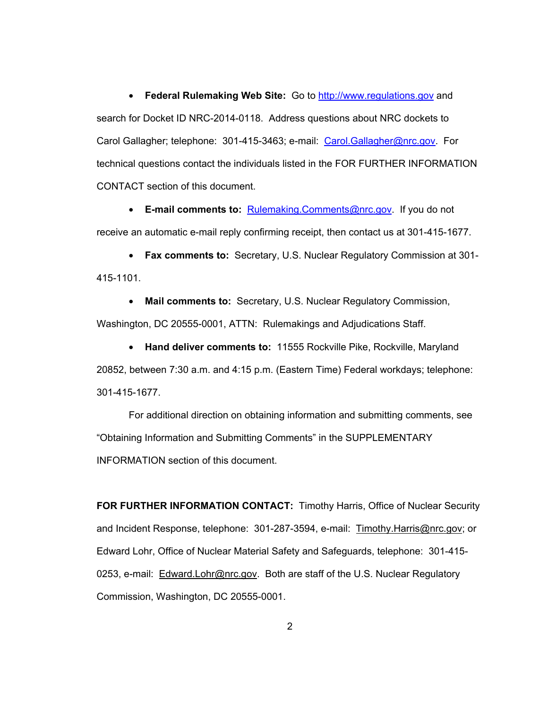• **Federal Rulemaking Web Site:** Go to http://www.regulations.gov and search for Docket ID NRC-2014-0118. Address questions about NRC dockets to Carol Gallagher; telephone: 301-415-3463; e-mail: Carol.Gallagher@nrc.gov. For technical questions contact the individuals listed in the FOR FURTHER INFORMATION CONTACT section of this document.

• **E-mail comments to:** Rulemaking.Comments@nrc.gov.If you do not receive an automatic e-mail reply confirming receipt, then contact us at 301-415-1677.

• **Fax comments to:** Secretary, U.S. Nuclear Regulatory Commission at 301- 415-1101.

• **Mail comments to:** Secretary, U.S. Nuclear Regulatory Commission, Washington, DC 20555-0001, ATTN: Rulemakings and Adjudications Staff.

• **Hand deliver comments to:** 11555 Rockville Pike, Rockville, Maryland 20852, between 7:30 a.m. and 4:15 p.m. (Eastern Time) Federal workdays; telephone: 301-415-1677.

For additional direction on obtaining information and submitting comments, see "Obtaining Information and Submitting Comments" in the SUPPLEMENTARY INFORMATION section of this document.

**FOR FURTHER INFORMATION CONTACT:** Timothy Harris, Office of Nuclear Security and Incident Response, telephone: 301-287-3594, e-mail: Timothy.Harris@nrc.gov; or Edward Lohr, Office of Nuclear Material Safety and Safeguards, telephone: 301-415- 0253, e-mail: Edward.Lohr@nrc.gov. Both are staff of the U.S. Nuclear Regulatory Commission, Washington, DC 20555-0001.

2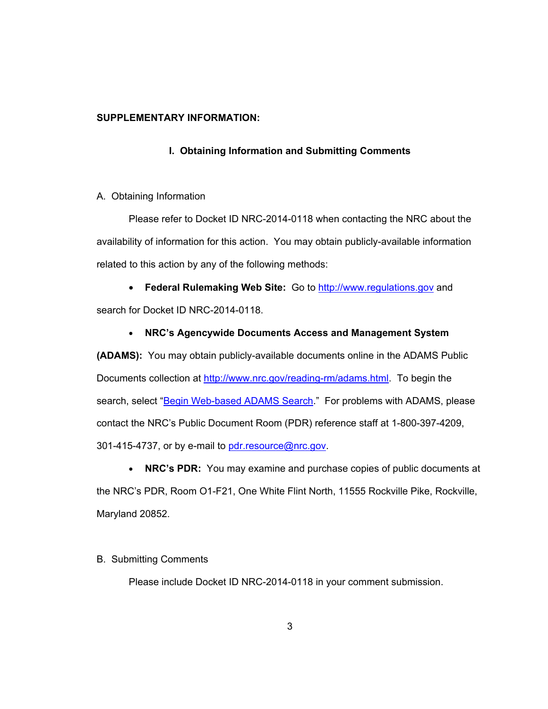## **SUPPLEMENTARY INFORMATION:**

### **I. Obtaining Information and Submitting Comments**

#### A. Obtaining Information

Please refer to Docket ID NRC-2014-0118 when contacting the NRC about the availability of information for this action. You may obtain publicly-available information related to this action by any of the following methods:

• **Federal Rulemaking Web Site:** Go to http://www.regulations.gov and search for Docket ID NRC-2014-0118.

#### • **NRC's Agencywide Documents Access and Management System**

**(ADAMS):** You may obtain publicly-available documents online in the ADAMS Public Documents collection at http://www.nrc.gov/reading-rm/adams.html. To begin the search, select "Begin Web-based ADAMS Search." For problems with ADAMS, please contact the NRC's Public Document Room (PDR) reference staff at 1-800-397-4209, 301-415-4737, or by e-mail to pdr.resource@nrc.gov.

• **NRC's PDR:** You may examine and purchase copies of public documents at the NRC's PDR, Room O1-F21, One White Flint North, 11555 Rockville Pike, Rockville, Maryland 20852.

# B. Submitting Comments

Please include Docket ID NRC-2014-0118 in your comment submission.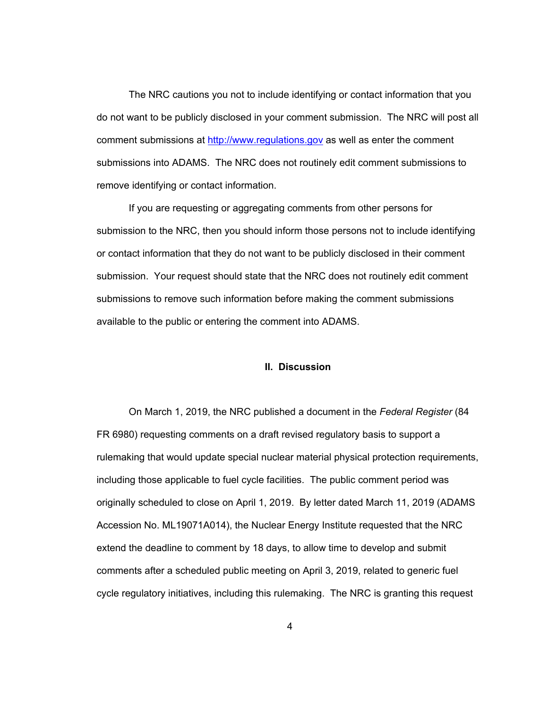The NRC cautions you not to include identifying or contact information that you do not want to be publicly disclosed in your comment submission. The NRC will post all comment submissions at http://www.regulations.gov as well as enter the comment submissions into ADAMS. The NRC does not routinely edit comment submissions to remove identifying or contact information.

If you are requesting or aggregating comments from other persons for submission to the NRC, then you should inform those persons not to include identifying or contact information that they do not want to be publicly disclosed in their comment submission. Your request should state that the NRC does not routinely edit comment submissions to remove such information before making the comment submissions available to the public or entering the comment into ADAMS.

#### **II. Discussion**

On March 1, 2019, the NRC published a document in the *Federal Register* (84 FR 6980) requesting comments on a draft revised regulatory basis to support a rulemaking that would update special nuclear material physical protection requirements, including those applicable to fuel cycle facilities. The public comment period was originally scheduled to close on April 1, 2019. By letter dated March 11, 2019 (ADAMS Accession No. ML19071A014), the Nuclear Energy Institute requested that the NRC extend the deadline to comment by 18 days, to allow time to develop and submit comments after a scheduled public meeting on April 3, 2019, related to generic fuel cycle regulatory initiatives, including this rulemaking. The NRC is granting this request